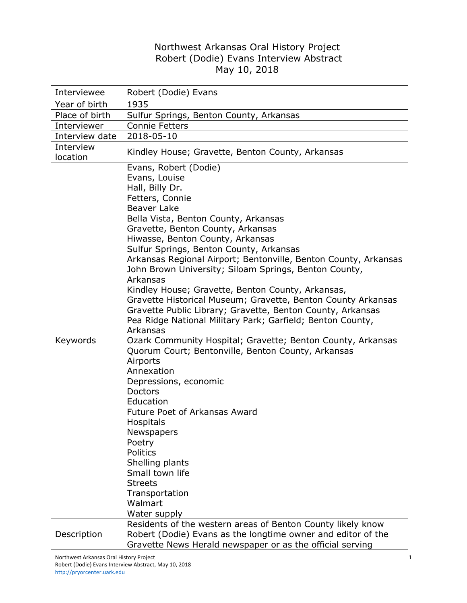## Northwest Arkansas Oral History Project Robert (Dodie) Evans Interview Abstract May 10, 2018

| Interviewee           | Robert (Dodie) Evans                                                                                                                                                                                                                                                                                                                                                                                                                                                                                                                                                                                                                                                                                                                                                                                                                                                                                                                                                                                                                                                                                                             |
|-----------------------|----------------------------------------------------------------------------------------------------------------------------------------------------------------------------------------------------------------------------------------------------------------------------------------------------------------------------------------------------------------------------------------------------------------------------------------------------------------------------------------------------------------------------------------------------------------------------------------------------------------------------------------------------------------------------------------------------------------------------------------------------------------------------------------------------------------------------------------------------------------------------------------------------------------------------------------------------------------------------------------------------------------------------------------------------------------------------------------------------------------------------------|
| Year of birth         | 1935                                                                                                                                                                                                                                                                                                                                                                                                                                                                                                                                                                                                                                                                                                                                                                                                                                                                                                                                                                                                                                                                                                                             |
| Place of birth        | Sulfur Springs, Benton County, Arkansas                                                                                                                                                                                                                                                                                                                                                                                                                                                                                                                                                                                                                                                                                                                                                                                                                                                                                                                                                                                                                                                                                          |
| Interviewer           | <b>Connie Fetters</b>                                                                                                                                                                                                                                                                                                                                                                                                                                                                                                                                                                                                                                                                                                                                                                                                                                                                                                                                                                                                                                                                                                            |
| Interview date        | 2018-05-10                                                                                                                                                                                                                                                                                                                                                                                                                                                                                                                                                                                                                                                                                                                                                                                                                                                                                                                                                                                                                                                                                                                       |
| Interview<br>location | Kindley House; Gravette, Benton County, Arkansas                                                                                                                                                                                                                                                                                                                                                                                                                                                                                                                                                                                                                                                                                                                                                                                                                                                                                                                                                                                                                                                                                 |
| Keywords              | Evans, Robert (Dodie)<br>Evans, Louise<br>Hall, Billy Dr.<br>Fetters, Connie<br><b>Beaver Lake</b><br>Bella Vista, Benton County, Arkansas<br>Gravette, Benton County, Arkansas<br>Hiwasse, Benton County, Arkansas<br>Sulfur Springs, Benton County, Arkansas<br>Arkansas Regional Airport; Bentonville, Benton County, Arkansas<br>John Brown University; Siloam Springs, Benton County,<br>Arkansas<br>Kindley House; Gravette, Benton County, Arkansas,<br>Gravette Historical Museum; Gravette, Benton County Arkansas<br>Gravette Public Library; Gravette, Benton County, Arkansas<br>Pea Ridge National Military Park; Garfield; Benton County,<br>Arkansas<br>Ozark Community Hospital; Gravette; Benton County, Arkansas<br>Quorum Court; Bentonville, Benton County, Arkansas<br>Airports<br>Annexation<br>Depressions, economic<br>Doctors<br>Education<br>Future Poet of Arkansas Award<br>Hospitals<br>Newspapers<br>Poetry<br><b>Politics</b><br>Shelling plants<br>Small town life<br><b>Streets</b><br>Transportation<br>Walmart<br>Water supply<br>Residents of the western areas of Benton County likely know |
| Description           | Robert (Dodie) Evans as the longtime owner and editor of the<br>Gravette News Herald newspaper or as the official serving                                                                                                                                                                                                                                                                                                                                                                                                                                                                                                                                                                                                                                                                                                                                                                                                                                                                                                                                                                                                        |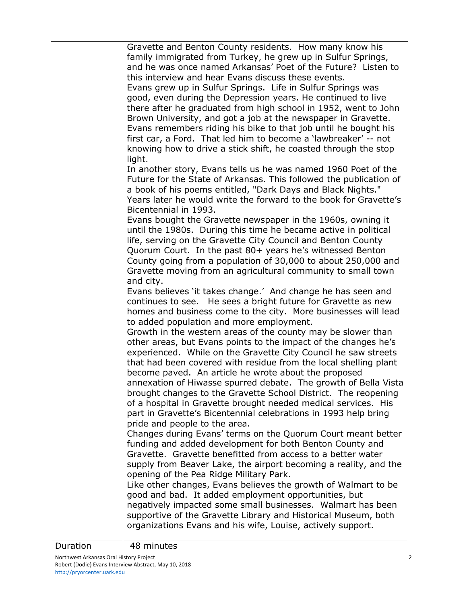|          | Gravette and Benton County residents. How many know his<br>family immigrated from Turkey, he grew up in Sulfur Springs,<br>and he was once named Arkansas' Poet of the Future? Listen to<br>this interview and hear Evans discuss these events.<br>Evans grew up in Sulfur Springs. Life in Sulfur Springs was<br>good, even during the Depression years. He continued to live<br>there after he graduated from high school in 1952, went to John<br>Brown University, and got a job at the newspaper in Gravette.<br>Evans remembers riding his bike to that job until he bought his<br>first car, a Ford. That led him to become a 'lawbreaker' -- not<br>knowing how to drive a stick shift, he coasted through the stop<br>light.<br>In another story, Evans tells us he was named 1960 Poet of the<br>Future for the State of Arkansas. This followed the publication of<br>a book of his poems entitled, "Dark Days and Black Nights."<br>Years later he would write the forward to the book for Gravette's<br>Bicentennial in 1993.<br>Evans bought the Gravette newspaper in the 1960s, owning it<br>until the 1980s. During this time he became active in political<br>life, serving on the Gravette City Council and Benton County<br>Quorum Court. In the past 80+ years he's witnessed Benton<br>County going from a population of 30,000 to about 250,000 and<br>Gravette moving from an agricultural community to small town<br>and city.<br>Evans believes 'it takes change.' And change he has seen and<br>continues to see. He sees a bright future for Gravette as new<br>homes and business come to the city. More businesses will lead<br>to added population and more employment.<br>Growth in the western areas of the county may be slower than<br>other areas, but Evans points to the impact of the changes he's<br>experienced. While on the Gravette City Council he saw streets<br>that had been covered with residue from the local shelling plant<br>become paved. An article he wrote about the proposed<br>annexation of Hiwasse spurred debate. The growth of Bella Vista<br>brought changes to the Gravette School District. The reopening<br>of a hospital in Gravette brought needed medical services. His<br>part in Gravette's Bicentennial celebrations in 1993 help bring<br>pride and people to the area.<br>Changes during Evans' terms on the Quorum Court meant better<br>funding and added development for both Benton County and<br>Gravette. Gravette benefitted from access to a better water<br>supply from Beaver Lake, the airport becoming a reality, and the<br>opening of the Pea Ridge Military Park.<br>Like other changes, Evans believes the growth of Walmart to be<br>good and bad. It added employment opportunities, but<br>negatively impacted some small businesses. Walmart has been<br>supportive of the Gravette Library and Historical Museum, both |
|----------|-------------------------------------------------------------------------------------------------------------------------------------------------------------------------------------------------------------------------------------------------------------------------------------------------------------------------------------------------------------------------------------------------------------------------------------------------------------------------------------------------------------------------------------------------------------------------------------------------------------------------------------------------------------------------------------------------------------------------------------------------------------------------------------------------------------------------------------------------------------------------------------------------------------------------------------------------------------------------------------------------------------------------------------------------------------------------------------------------------------------------------------------------------------------------------------------------------------------------------------------------------------------------------------------------------------------------------------------------------------------------------------------------------------------------------------------------------------------------------------------------------------------------------------------------------------------------------------------------------------------------------------------------------------------------------------------------------------------------------------------------------------------------------------------------------------------------------------------------------------------------------------------------------------------------------------------------------------------------------------------------------------------------------------------------------------------------------------------------------------------------------------------------------------------------------------------------------------------------------------------------------------------------------------------------------------------------------------------------------------------------------------------------------------------------------------------------------------------------------------------------------------------------------------------------------------------------------------------------------------------------------------------------------------------------------------------------------------------------------------------------------------------------------------------------------------------------------------------------------------------------------------------------------------------------|
|          | organizations Evans and his wife, Louise, actively support.                                                                                                                                                                                                                                                                                                                                                                                                                                                                                                                                                                                                                                                                                                                                                                                                                                                                                                                                                                                                                                                                                                                                                                                                                                                                                                                                                                                                                                                                                                                                                                                                                                                                                                                                                                                                                                                                                                                                                                                                                                                                                                                                                                                                                                                                                                                                                                                                                                                                                                                                                                                                                                                                                                                                                                                                                                                             |
| Duration | 48 minutes                                                                                                                                                                                                                                                                                                                                                                                                                                                                                                                                                                                                                                                                                                                                                                                                                                                                                                                                                                                                                                                                                                                                                                                                                                                                                                                                                                                                                                                                                                                                                                                                                                                                                                                                                                                                                                                                                                                                                                                                                                                                                                                                                                                                                                                                                                                                                                                                                                                                                                                                                                                                                                                                                                                                                                                                                                                                                                              |